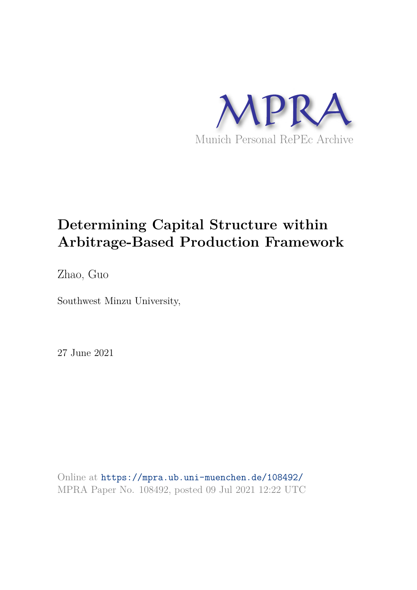

# **Determining Capital Structure within Arbitrage-Based Production Framework**

Zhao, Guo

Southwest Minzu University,

27 June 2021

Online at https://mpra.ub.uni-muenchen.de/108492/ MPRA Paper No. 108492, posted 09 Jul 2021 12:22 UTC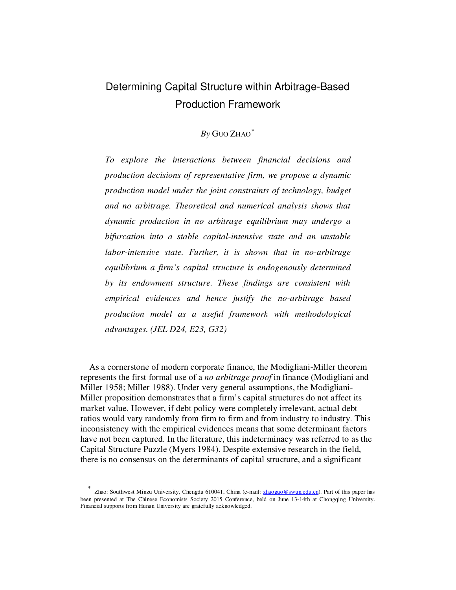# Determining Capital Structure within Arbitrage-Based Production Framework

## *By* GUO ZHAO[∗](#page-1-0)

*To explore the interactions between financial decisions and production decisions of representative firm, we propose a dynamic production model under the joint constraints of technology, budget and no arbitrage. Theoretical and numerical analysis shows that dynamic production in no arbitrage equilibrium may undergo a bifurcation into a stable capital-intensive state and an unstable labor-intensive state. Further, it is shown that in no-arbitrage equilibrium a firm's capital structure is endogenously determined by its endowment structure. These findings are consistent with empirical evidences and hence justify the no-arbitrage based production model as a useful framework with methodological advantages. (JEL D24, E23, G32)* 

As a cornerstone of modern corporate finance, the Modigliani-Miller theorem represents the first formal use of a *no arbitrage proof* in finance (Modigliani and Miller 1958; Miller 1988). Under very general assumptions, the Modigliani-Miller proposition demonstrates that a firm's capital structures do not affect its market value. However, if debt policy were completely irrelevant, actual debt ratios would vary randomly from firm to firm and from industry to industry. This inconsistency with the empirical evidences means that some determinant factors have not been captured. In the literature, this indeterminacy was referred to as the Capital Structure Puzzle (Myers 1984). Despite extensive research in the field, there is no consensus on the determinants of capital structure, and a significant

<span id="page-1-0"></span><sup>∗</sup> Zhao: Southwest Minzu University, Chengdu 610041, China (e-mail: zhaoguo@swun.edu.cn). Part of this paper has been presented at The Chinese Economists Society 2015 Conference, held on June 13-14th at Chongqing University. Financial supports from Hunan University are gratefully acknowledged.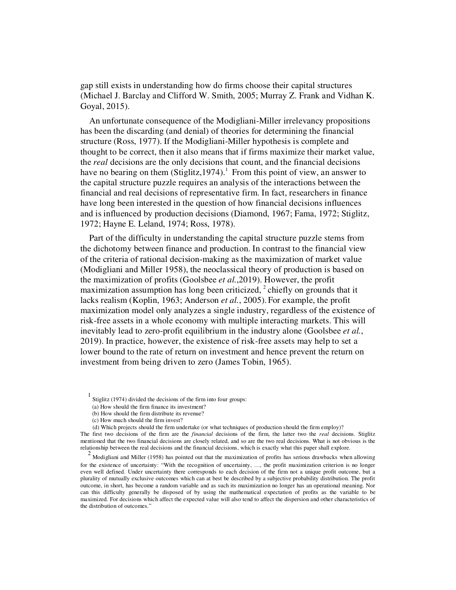gap still exists in understanding how do firms choose their capital structures (Michael J. Barclay and Clifford W. Smith, 2005; Murray Z. Frank and Vidhan K. Goyal, 2015).

An unfortunate consequence of the Modigliani-Miller irrelevancy propositions has been the discarding (and denial) of theories for determining the financial structure (Ross, 1977). If the Modigliani-Miller hypothesis is complete and thought to be correct, then it also means that if firms maximize their market value, the *real* decisions are the only decisions that count, and the financial decisions have no bearing on them (Stiglitz, [1](#page-2-0)974).<sup>1</sup> From this point of view, an answer to the capital structure puzzle requires an analysis of the interactions between the financial and real decisions of representative firm. In fact, researchers in finance have long been interested in the question of how financial decisions influences and is influenced by production decisions (Diamond, 1967; Fama, 1972; Stiglitz, 1972; Hayne E. Leland, 1974; Ross, 1978).

Part of the difficulty in understanding the capital structure puzzle stems from the dichotomy between finance and production. In contrast to the financial view of the criteria of rational decision-making as the maximization of market value (Modigliani and Miller 1958), the neoclassical theory of production is based on the maximization of profits (Goolsbee *et al.*,2019). However, the profit maximization assumption has long been criticized,  $2$  chiefly on grounds that it lacks realism (Koplin, 1963; Anderson *et al.*, 2005). For example, the profit maximization model only analyzes a single industry, regardless of the existence of risk-free assets in a whole economy with multiple interacting markets. This will inevitably lead to zero-profit equilibrium in the industry alone (Goolsbee *et al.*, 2019). In practice, however, the existence of risk-free assets may help to set a lower bound to the rate of return on investment and hence prevent the return on investment from being driven to zero (James Tobin, 1965).

<sup>1</sup> Stiglitz (1974) divided the decisions of the firm into four groups:

<sup>(</sup>a) How should the firm finance its investment?

<sup>(</sup>b) How should the firm distribute its revenue?

<sup>(</sup>c) How much should the firm invest?

<sup>(</sup>d) Which projects should the firm undertake (or what techniques of production should the firm employ)?

<span id="page-2-0"></span>The first two decisions of the firm are the *financial* decisions of the firm, the latter two the *real* decisions. Stiglitz mentioned that the two financial decisions are closely related, and so are the two real decisions. What is not obvious is the relationship between the real decisions and the financial decisions, which is exactly what this paper shall explore.

<span id="page-2-1"></span><sup>&</sup>lt;sup>2</sup> Modigliani and Miller (1958) has pointed out that the maximization of profits has serious drawbacks when allowing for the existence of uncertainty: "With the recognition of uncertainty, …, the profit maximization criterion is no longer even well defined. Under uncertainty there corresponds to each decision of the firm not a unique profit outcome, but a plurality of mutually exclusive outcomes which can at best be described by a subjective probability distribution. The profit outcome, in short, has become a random variable and as such its maximization no longer has an operational meaning. Nor can this difficulty generally be disposed of by using the mathematical expectation of profits as the variable to be maximized. For decisions which affect the expected value will also tend to affect the dispersion and other characteristics of the distribution of outcomes."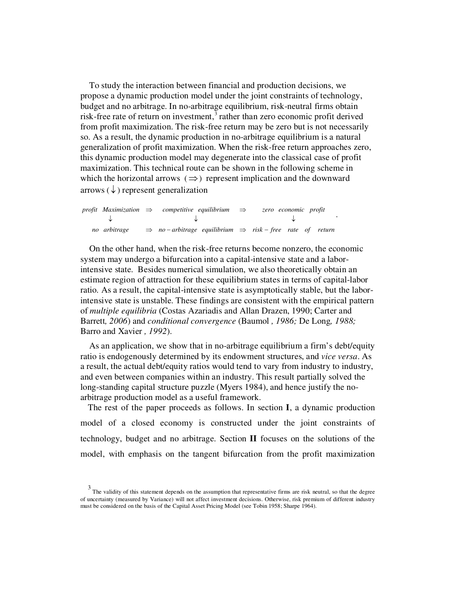To study the interaction between financial and production decisions, we propose a dynamic production model under the joint constraints of technology, budget and no arbitrage. In no-arbitrage equilibrium, risk-neutral firms obtain risk-free rate of return on investment,<sup>[3](#page-3-0)</sup> rather than zero economic profit derived from profit maximization. The risk-free return may be zero but is not necessarily so. As a result, the dynamic production in no-arbitrage equilibrium is a natural generalization of profit maximization. When the risk-free return approaches zero, this dynamic production model may degenerate into the classical case of profit maximization. This technical route can be shown in the following scheme in which the horizontal arrows  $(\Rightarrow)$  represent implication and the downward arrows  $(\downarrow)$  represent generalization

|              | profit Maximization $\Rightarrow$ competitive equilibrium $\Rightarrow$       |  | zero economic profit |  |
|--------------|-------------------------------------------------------------------------------|--|----------------------|--|
|              |                                                                               |  |                      |  |
| no arbitrage | $\Rightarrow$ no-arbitrage equilibrium $\Rightarrow$ risk-free rate of return |  |                      |  |

On the other hand, when the risk-free returns become nonzero, the economic system may undergo a bifurcation into a capital-intensive state and a laborintensive state. Besides numerical simulation, we also theoretically obtain an estimate region of attraction for these equilibrium states in terms of capital-labor ratio. As a result, the capital-intensive state is asymptotically stable, but the laborintensive state is unstable. These findings are consistent with the empirical pattern of *multiple equilibria* (Costas Azariadis and Allan Drazen, 1990; Carter and Barrett*, 2006*) and *conditional convergence* (Baumol *, 1986;* De Long*, 1988;* Barro and Xavier *, 1992*).

.

As an application, we show that in no-arbitrage equilibrium a firm's debt/equity ratio is endogenously determined by its endowment structures, and *vice versa*. As a result, the actual debt/equity ratios would tend to vary from industry to industry, and even between companies within an industry. This result partially solved the long-standing capital structure puzzle (Myers 1984), and hence justify the noarbitrage production model as a useful framework.

The rest of the paper proceeds as follows. In section **I**, a dynamic production model of a closed economy is constructed under the joint constraints of technology, budget and no arbitrage. Section **II** focuses on the solutions of the model, with emphasis on the tangent bifurcation from the profit maximization

<span id="page-3-0"></span><sup>&</sup>lt;sup>3</sup> The validity of this statement depends on the assumption that representative firms are risk neutral, so that the degree of uncertainty (measured by Variance) will not affect investment decisions. Otherwise, risk premium of different industry must be considered on the basis of the Capital Asset Pricing Model (see Tobin 1958; Sharpe 1964).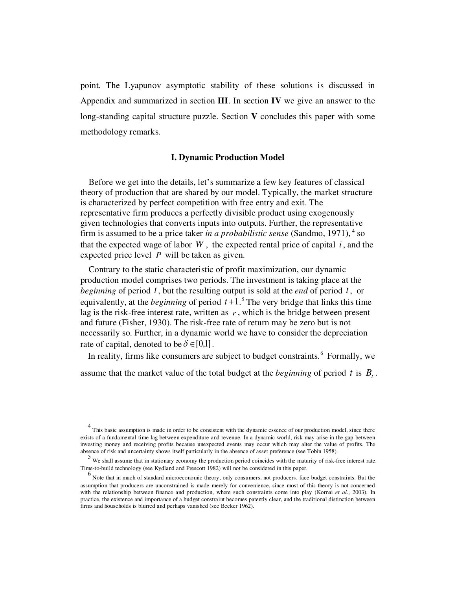point. The Lyapunov asymptotic stability of these solutions is discussed in Appendix and summarized in section **III**. In section **IV** we give an answer to the long-standing capital structure puzzle. Section **V** concludes this paper with some methodology remarks.

#### **I. Dynamic Production Model**

Before we get into the details, let's summarize a few key features of classical theory of production that are shared by our model. Typically, the market structure is characterized by perfect competition with free entry and exit. The representative firm produces a perfectly divisible product using exogenously given technologies that converts inputs into outputs. Further, the representative firm is assumed to be a price taker *in a probabilistic sense* (Sandmo, 1971), <sup>[4](#page-4-0)</sup> so that the expected wage of labor  $W$ , the expected rental price of capital  $i$ , and the expected price level *P* will be taken as given.

Contrary to the static characteristic of profit maximization, our dynamic production model comprises two periods. The investment is taking place at the *beginning* of period *t* , but the resulting output is sold at the *end* of period *t* , or equivalently, at the *beginning* of period  $t+1$ <sup>[5](#page-4-1)</sup>. The very bridge that links this time lag is the risk-free interest rate, written as  $r$ , which is the bridge between present and future (Fisher, 1930). The risk-free rate of return may be zero but is not necessarily so. Further, in a dynamic world we have to consider the depreciation rate of capital, denoted to be  $\delta \in [0,1]$ .

In reality, firms like consumers are subject to budget constraints. [6](#page-4-2) Formally, we

assume that the market value of the total budget at the *beginning* of period t is  $B_t$ .

<span id="page-4-0"></span><sup>4</sup> This basic assumption is made in order to be consistent with the dynamic essence of our production model, since there exists of a fundamental time lag between expenditure and revenue. In a dynamic world, risk may arise in the gap between investing money and receiving profits because unexpected events may occur which may alter the value of profits. The absence of risk and uncertainty shows itself particularly in the absence of asset preference (see Tobin 1958).

<span id="page-4-1"></span><sup>5</sup> We shall assume that in stationary economy the production period coincides with the maturity of risk-free interest rate. Time-to-build technology (see Kydland and Prescott 1982) will not be considered in this paper.

<span id="page-4-2"></span><sup>&</sup>lt;sup>6</sup> Note that in much of standard microeconomic theory, only consumers, not producers, face budget constraints. But the assumption that producers are unconstrained is made merely for convenience, since most of this theory is not concerned with the relationship between finance and production, where such constraints come into play (Kornai *et al.*, 2003). In practice, the existence and importance of a budget constraint becomes patently clear, and the traditional distinction between firms and households is blurred and perhaps vanished (see Becker 1962).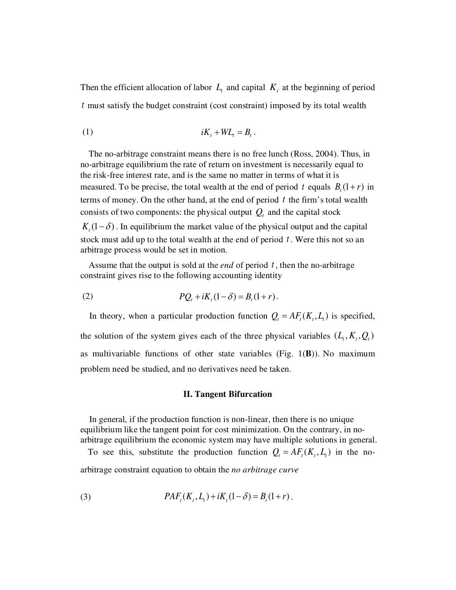Then the efficient allocation of labor  $L_t$  and capital  $K_t$  at the beginning of period *t* must satisfy the budget constraint (cost constraint) imposed by its total wealth

 (1) *<sup>t</sup> WL<sup>t</sup> B<sup>t</sup> iK* + = .

The no-arbitrage constraint means there is no free lunch (Ross, 2004). Thus, in no-arbitrage equilibrium the rate of return on investment is necessarily equal to the risk-free interest rate, and is the same no matter in terms of what it is measured. To be precise, the total wealth at the end of period t equals  $B_t(1+r)$  in terms of money. On the other hand, at the end of period *t* the firm's total wealth consists of two components: the physical output  $Q_t$  and the capital stock  $K_t(1-\delta)$ . In equilibrium the market value of the physical output and the capital stock must add up to the total wealth at the end of period *t* . Were this not so an

Assume that the output is sold at the *end* of period *t* , then the no-arbitrage constraint gives rise to the following accounting identity

(2) 
$$
PQ_t + iK_t(1-\delta) = B_t(1+r).
$$

arbitrage process would be set in motion.

In theory, when a particular production function  $Q_t = AF_t(K_t, L_t)$  is specified, the solution of the system gives each of the three physical variables  $(L, K, Q)$ as multivariable functions of other state variables (Fig. 1(**B**)). No maximum problem need be studied, and no derivatives need be taken.

#### **II. Tangent Bifurcation**

In general, if the production function is non-linear, then there is no unique equilibrium like the tangent point for cost minimization. On the contrary, in noarbitrage equilibrium the economic system may have multiple solutions in general.

To see this, substitute the production function  $Q_t = AF_t(K_t, L_t)$  in the noarbitrage constraint equation to obtain the *no arbitrage curve*

(3) 
$$
PAF_t(K_t, L_t) + iK_t(1 - \delta) = B_t(1 + r).
$$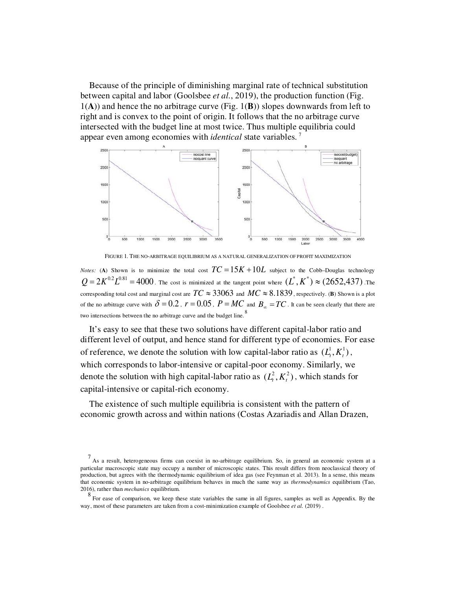Because of the principle of diminishing marginal rate of technical substitution between capital and labor (Goolsbee *et al.*, 2019), the production function (Fig. 1(**A**)) and hence the no arbitrage curve (Fig. 1(**B**)) slopes downwards from left to right and is convex to the point of origin. It follows that the no arbitrage curve intersected with the budget line at most twice. Thus multiple equilibria could appear even among economies with *identical* state variables.<sup>[7](#page-6-0)</sup>



FIGURE 1. THE NO-ARBITRAGE EQUILIBRIUM AS A NATURAL GENERALIZATION OF PROFIT MAXIMIZATION

*Notes:* (**A**) Shown is to minimize the total cost  $TC = 15K + 10L$  subject to the Cobb–Douglas technology  $Q = 2K^{0.2}L^{0.81} = 4000$  . The cost is minimized at the tangent point where  $(L^*,K^*) \approx (2652,437)$  .The corresponding total cost and marginal cost are  $TC \approx 33063$  and  $MC \approx 8.1839$ , respectively. (**B**) Shown is a plot of the no arbitrage curve with  $\delta = 0.2$ ,  $r = 0.05$ ,  $P = MC$  and  $B_{\infty} = TC$ . It can be seen clearly that there are two intersections between the no arbitrage curve and the budget line.<sup>[8](#page-6-1)</sup>

It's easy to see that these two solutions have different capital-labor ratio and different level of output, and hence stand for different type of economies. For ease of reference, we denote the solution with low capital-labor ratio as  $(L_t^1, K_t^1)$ , which corresponds to labor-intensive or capital-poor economy. Similarly, we denote the solution with high capital-labor ratio as  $(L<sub>t</sub><sup>2</sup>, K<sub>t</sub><sup>2</sup>)$ , which stands for capital-intensive or capital-rich economy.

The existence of such multiple equilibria is consistent with the pattern of economic growth across and within nations (Costas Azariadis and Allan Drazen,

<span id="page-6-0"></span><sup>7</sup> As a result, heterogeneous firms can coexist in no-arbitrage equilibrium. So, in general an economic system at a particular macroscopic state may occupy a number of microscopic states. This result differs from neoclassical theory of production, but agrees with the thermodynamic equilibrium of idea gas (see Feynman et al. 2013). In a sense, this means that economic system in no-arbitrage equilibrium behaves in much the same way as *thermodynamics* equilibrium (Tao, 2016), rather than *mechanics* equilibrium.

<span id="page-6-1"></span><sup>8&</sup>lt;br>For ease of comparison, we keep these state variables the same in all figures, samples as well as Appendix. By the way, most of these parameters are taken from a cost-minimization example of Goolsbee *et al.* (2019) .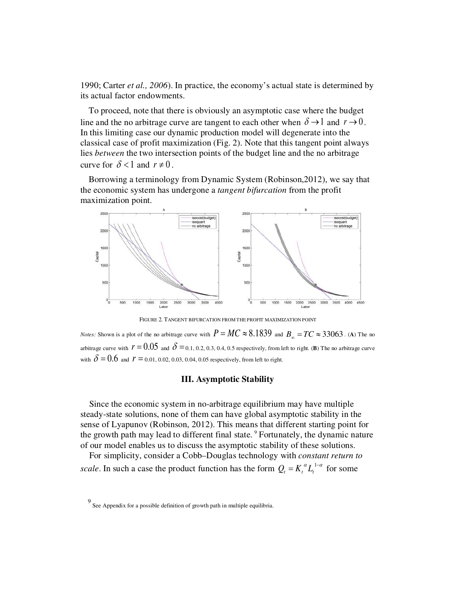1990; Carter *et al., 2006*). In practice, the economy's actual state is determined by its actual factor endowments.

To proceed, note that there is obviously an asymptotic case where the budget line and the no arbitrage curve are tangent to each other when  $\delta \rightarrow 1$  and  $r \rightarrow 0$ . In this limiting case our dynamic production model will degenerate into the classical case of profit maximization (Fig. 2). Note that this tangent point always lies *between* the two intersection points of the budget line and the no arbitrage curve for  $\delta < 1$  and  $r \neq 0$ .

Borrowing a terminology from Dynamic System (Robinson,2012), we say that the economic system has undergone a *tangent bifurcation* from the profit maximization point.



FIGURE 2. TANGENT BIFURCATION FROM THE PROFIT MAXIMIZATION POINT

*Notes:* Shown is a plot of the no arbitrage curve with  $P = MC \approx 8.1839$  and  $B_{\infty} = TC \approx 33063$ . (A) The no arbitrage curve with  $r = 0.05$  and  $\delta = 0.1, 0.2, 0.3, 0.4, 0.5$  respectively, from left to right. (**B**) The no arbitrage curve with  $\delta = 0.6$  and  $r = 0.01, 0.02, 0.03, 0.04, 0.05$  respectively, from left to right.

#### **III. Asymptotic Stability**

Since the economic system in no-arbitrage equilibrium may have multiple steady-state solutions, none of them can have global asymptotic stability in the sense of Lyapunov (Robinson, 2012). This means that different starting point for the growth path may lead to different final state.<sup>[9](#page-7-0)</sup> Fortunately, the dynamic nature of our model enables us to discuss the asymptotic stability of these solutions.

For simplicity, consider a Cobb–Douglas technology with *constant return to scale*. In such a case the product function has the form  $Q_t = K_t^{\alpha} L_t^{1-\alpha}$  for some

<span id="page-7-0"></span><sup>9</sup> See Appendix for a possible definition of growth path in multiple equilibria.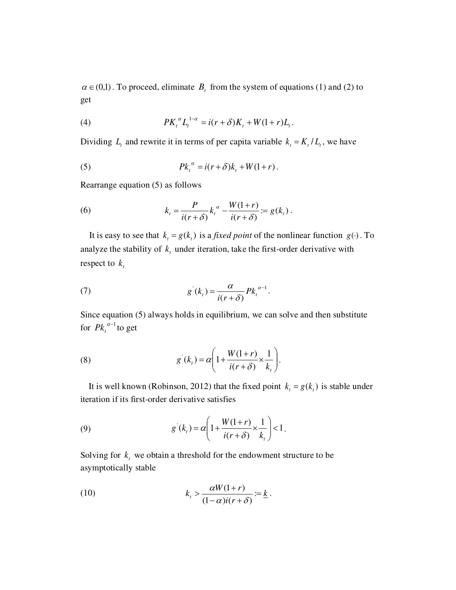$\alpha \in (0,1)$ . To proceed, eliminate  $B<sub>t</sub>$  from the system of equations (1) and (2) to get

(4) 
$$
PK_{t}^{\alpha}L_{t}^{1-\alpha} = i(r+\delta)K_{t} + W(1+r)L_{t}.
$$

Dividing  $L_t$  and rewrite it in terms of per capita variable  $k_t = K_t / L_t$ , we have

(5) 
$$
Pk_t^{\alpha} = i(r+\delta)k_t + W(1+r).
$$

Rearrange equation (5) as follows

(6) 
$$
k_t = \frac{P}{i(r+\delta)} k_t^{\alpha} - \frac{W(1+r)}{i(r+\delta)} = g(k_t).
$$

It is easy to see that  $k_t = g(k_t)$  is a *fixed point* of the nonlinear function  $g(\cdot)$ . To analyze the stability of  $k_t$  under iteration, take the first-order derivative with respect to *<sup>t</sup> k*

(7) 
$$
g'(k_{t}) = \frac{\alpha}{i(r+\delta)} P k_{t}^{\alpha-1}.
$$

Since equation (5) always holds in equilibrium, we can solve and then substitute for  $P k_t^{\alpha-1}$  to get

(8) 
$$
g'(k_t) = \alpha \left( 1 + \frac{W(1+r)}{i(r+\delta)} \times \frac{1}{k_t} \right).
$$

It is well known (Robinson, 2012) that the fixed point  $k_t = g(k_t)$  is stable under iteration if its first-order derivative satisfies

(9) 
$$
g'(k_{t}) = \alpha \left( 1 + \frac{W(1+r)}{i(r+\delta)} \times \frac{1}{k_{t}} \right) < 1.
$$

Solving for  $k_t$  we obtain a threshold for the endowment structure to be asymptotically stable

(10) 
$$
k_{t} > \frac{\alpha W(1+r)}{(1-\alpha)i(r+\delta)} := \underline{k}.
$$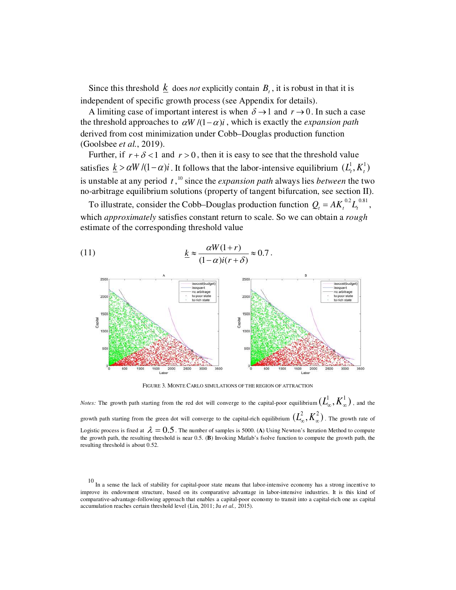Since this threshold  $\underline{k}$  does *not* explicitly contain  $B_t$ , it is robust in that it is independent of specific growth process (see Appendix for details).

A limiting case of important interest is when  $\delta \rightarrow 1$  and  $r \rightarrow 0$ . In such a case the threshold approaches to  $\alpha W/((1-\alpha)i)$ , which is exactly the *expansion path* derived from cost minimization under Cobb–Douglas production function (Goolsbee *et al.*, 2019).

Further, if  $r + \delta < 1$  and  $r > 0$ , then it is easy to see that the threshold value satisfies  $\underline{k} > \alpha W / (1 - \alpha)i$ . It follows that the labor-intensive equilibrium  $(L_t^1, K_t^1)$ is unstable at any period *t* , [10](#page-9-0) since the *expansion path* always lies *between* the two no-arbitrage equilibrium solutions (property of tangent bifurcation, see section II).

To illustrate, consider the Cobb–Douglas production function  $Q_t = AK_t^{0.2}L_t^{0.81}$ , which *approximately* satisfies constant return to scale. So we can obtain a *rough* estimate of the corresponding threshold value

(11) 
$$
\underline{k} \approx \frac{\alpha W(1+r)}{(1-\alpha)i(r+\delta)} \approx 0.7.
$$



FIGURE 3. MONTE CARLO SIMULATIONS OF THE REGION OF ATTRACTION

*Notes:* The growth path starting from the red dot will converge to the capital-poor equilibrium  $(L^1_\infty,K^1_\infty)$  , and the growth path starting from the green dot will converge to the capital-rich equilibrium  $(L_\infty^2,K_\infty^2)$  . The growth rate of Logistic process is fixed at  $\lambda = 0.5$ . The number of samples is 5000. (A) Using Newton's Iteration Method to compute the growth path, the resulting threshold is near 0.5. (**B**) Invoking Matlab's fsolve function to compute the growth path, the resulting threshold is about 0.52.

<span id="page-9-0"></span> $10$  In a sense the lack of stability for capital-poor state means that labor-intensive economy has a strong incentive to improve its endowment structure, based on its comparative advantage in labor-intensive industries. It is this kind of comparative-advantage-following approach that enables a capital-poor economy to transit into a capital-rich one as capital accumulation reaches certain threshold level (Lin, 2011; Ju *et al.,* 2015).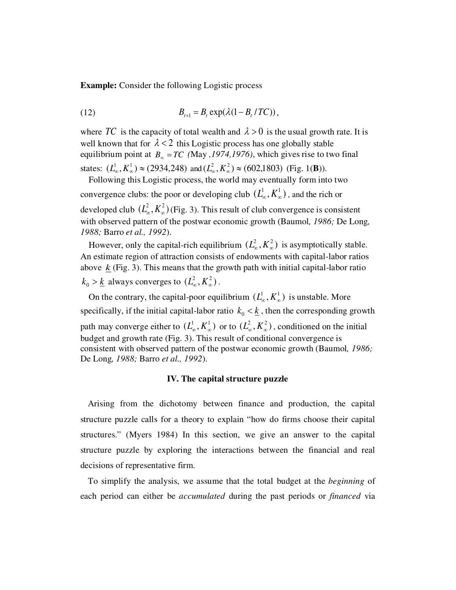**Example:** Consider the following Logistic process

(12) 
$$
B_{t+1} = B_t \exp(\lambda(1 - B_t / TC)),
$$

where TC is the capacity of total wealth and  $\lambda > 0$  is the usual growth rate. It is well known that for  $\lambda < 2$  this Logistic process has one globally stable equilibrium point at  $B_\infty = TC$  (May , 1974, 1976), which gives rise to two final states:  $(L_{\infty}^1, K_{\infty}^1) \approx (2934,248)$  and  $(L_{\infty}^2, K_{\infty}^2) \approx (602,1803)$  (Fig. 1(**B**)).

Following this Logistic process, the world may eventually form into two convergence clubs: the poor or developing club  $(L^1_{\infty}, K^1_{\infty})$ , and the rich or developed club  $(L_{\infty}^2, K_{\infty}^2)$  (Fig. 3). This result of club convergence is consistent with observed pattern of the postwar economic growth (Baumol*, 1986;* De Long*, 1988;* Barro *et al., 1992*).

However, only the capital-rich equilibrium  $(L_{\infty}^2, K_{\infty}^2)$  is asymptotically stable. An estimate region of attraction consists of endowments with capital-labor ratios above  $k$  (Fig. 3). This means that the growth path with initial capital-labor ratio  $k_0 > \underline{k}$  always converges to  $(L^2_\infty, K^2_\infty)$ .

On the contrary, the capital-poor equilibrium  $(L^1_\infty, K^1_\infty)$  is unstable. More specifically, if the initial capital-labor ratio  $k_0 < \underline{k}$ , then the corresponding growth path may converge either to  $(L^1_\infty, K^1_\infty)$  or to  $(L^2_\infty, K^2_\infty)$ , conditioned on the initial budget and growth rate (Fig. 3). This result of conditional convergence is consistent with observed pattern of the postwar economic growth (Baumol*, 1986;* De Long*, 1988;* Barro *et al., 1992*).

#### **IV. The capital structure puzzle**

Arising from the dichotomy between finance and production, the capital structure puzzle calls for a theory to explain "how do firms choose their capital structures." (Myers 1984) In this section, we give an answer to the capital structure puzzle by exploring the interactions between the financial and real decisions of representative firm.

To simplify the analysis, we assume that the total budget at the *beginning* of each period can either be *accumulated* during the past periods or *financed* via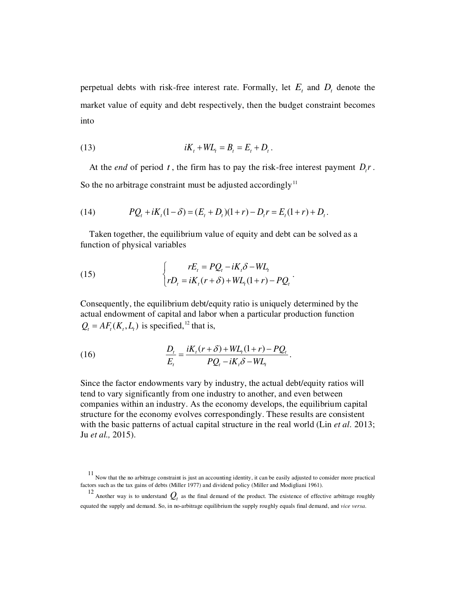perpetual debts with risk-free interest rate. Formally, let  $E_t$  and  $D_t$  denote the market value of equity and debt respectively, then the budget constraint becomes into

(13) 
$$
iK_t + WL_t = B_t = E_t + D_t.
$$

At the *end* of period  $t$ , the firm has to pay the risk-free interest payment  $D_t r$ . So the no arbitrage constraint must be adjusted accordingly<sup>[11](#page-11-0)</sup>

(14) 
$$
PQ_t + iK_t(1-\delta) = (E_t + D_t)(1+r) - D_t r = E_t(1+r) + D_t.
$$

Taken together, the equilibrium value of equity and debt can be solved as a function of physical variables

.

.

(15) 
$$
\begin{cases}\nrE_t = PQ_t - iK_t\delta - WL_t \\
rD_t = iK_t(r+\delta) + WL_t(1+r) - PQ_t\n\end{cases}
$$

Consequently, the equilibrium debt/equity ratio is uniquely determined by the actual endowment of capital and labor when a particular production function  $Q_t = AF_t(K_t, L_t)$  is specified, <sup>[12](#page-11-1)</sup> that is,

(16) 
$$
\frac{D_t}{E_t} = \frac{iK_t(r+\delta) + WL_t(1+r) - PQ_t}{PQ_t - iK_t\delta - WL_t}
$$

Since the factor endowments vary by industry, the actual debt/equity ratios will tend to vary significantly from one industry to another, and even between companies within an industry. As the economy develops, the equilibrium capital structure for the economy evolves correspondingly. These results are consistent with the basic patterns of actual capital structure in the real world (Lin *et al*. 2013; Ju *et al.,* 2015).

<span id="page-11-0"></span><sup>&</sup>lt;sup>11</sup> Now that the no arbitrage constraint is just an accounting identity, it can be easily adjusted to consider more practical factors such as the tax gains of debts (Miller 1977) and dividend policy (Miller and Modigliani 1961).

<span id="page-11-1"></span><sup>&</sup>lt;sup>12</sup> Another way is to understand  $Q_t$  as the final demand of the product. The existence of effective arbitrage roughly equated the supply and demand. So, in no-arbitrage equilibrium the supply roughly equals final demand, and *vice versa*.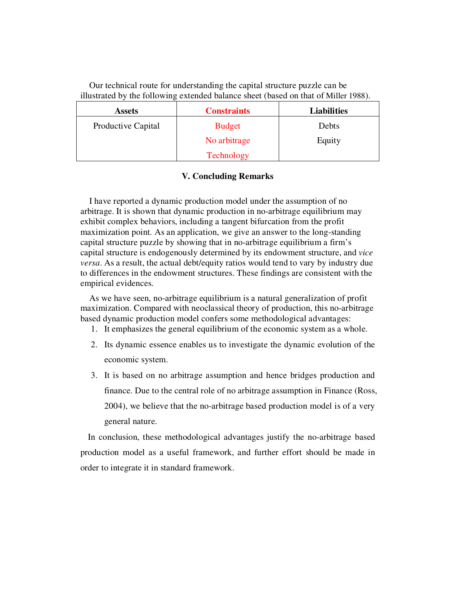Our technical route for understanding the capital structure puzzle can be illustrated by the following extended balance sheet (based on that of Miller 1988).

| <b>Assets</b>      | <b>Constraints</b> | <b>Liabilities</b> |  |
|--------------------|--------------------|--------------------|--|
| Productive Capital | <b>Budget</b>      | Debts              |  |
|                    | No arbitrage       | Equity             |  |
|                    | Technology         |                    |  |

### **V. Concluding Remarks**

I have reported a dynamic production model under the assumption of no arbitrage. It is shown that dynamic production in no-arbitrage equilibrium may exhibit complex behaviors, including a tangent bifurcation from the profit maximization point. As an application, we give an answer to the long-standing capital structure puzzle by showing that in no-arbitrage equilibrium a firm's capital structure is endogenously determined by its endowment structure, and *vice versa*. As a result, the actual debt/equity ratios would tend to vary by industry due to differences in the endowment structures. These findings are consistent with the empirical evidences.

As we have seen, no-arbitrage equilibrium is a natural generalization of profit maximization. Compared with neoclassical theory of production, this no-arbitrage based dynamic production model confers some methodological advantages:

- 1. It emphasizes the general equilibrium of the economic system as a whole.
- 2. Its dynamic essence enables us to investigate the dynamic evolution of the economic system.
- 3. It is based on no arbitrage assumption and hence bridges production and finance. Due to the central role of no arbitrage assumption in Finance (Ross, 2004), we believe that the no-arbitrage based production model is of a very general nature.

In conclusion, these methodological advantages justify the no-arbitrage based production model as a useful framework, and further effort should be made in order to integrate it in standard framework.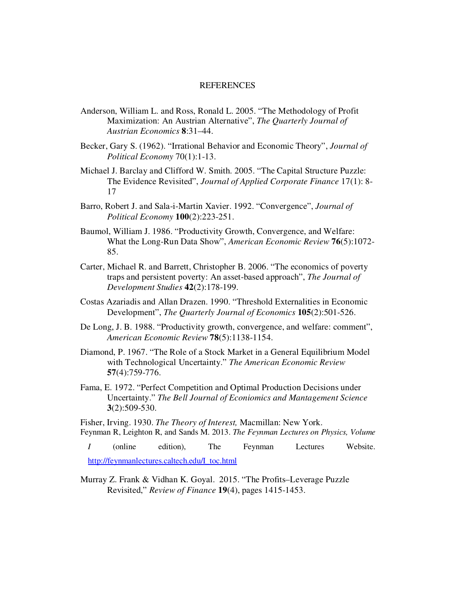#### REFERENCES

- Anderson, William L. and Ross, Ronald L. 2005. "The Methodology of Profit Maximization: An Austrian Alternative", *The Quarterly Journal of Austrian Economics* **8**:31–44.
- Becker, Gary S. (1962). "Irrational Behavior and Economic Theory", *Journal of Political Economy* 70(1):1-13.
- Michael J. Barclay and Clifford W. Smith. 2005. "The Capital Structure Puzzle: The Evidence Revisited", *Journal of Applied Corporate Finance* 17(1): 8- 17
- Barro, Robert J. and Sala-i-Martin Xavier. 1992. "Convergence", *Journal of Political Economy* **100**(2):223-251.
- Baumol, William J. 1986. "Productivity Growth, Convergence, and Welfare: What the Long-Run Data Show", *American Economic Review* **76**(5):1072- 85.
- Carter, Michael R. and Barrett, Christopher B. 2006. "The economics of poverty traps and persistent poverty: An asset-based approach", *The Journal of Development Studies* **42**(2):178-199.
- Costas Azariadis and Allan Drazen. 1990. "Threshold Externalities in Economic Development", *The Quarterly Journal of Economics* **105**(2):501-526.
- De Long, J. B. 1988. "Productivity growth, convergence, and welfare: comment", *American Economic Review* **78**(5):1138-1154.
- Diamond, P. 1967. "The Role of a Stock Market in a General Equilibrium Model with Technological Uncertainty." *The American Economic Review* **57**(4):759-776.
- Fama, E. 1972. "Perfect Competition and Optimal Production Decisions under Uncertainty." *The Bell Journal of Econiomics and Mantagement Science* **3**(2):509-530.

Fisher, Irving. 1930. *The Theory of Interest,* Macmillan: New York. Feynman R, Leighton R, and Sands M. 2013. *The Feynman Lectures on Physics, Volume* 

*I* (online edition), The Feynman Lectures Website. http://feynmanlectures.caltech.edu/I\_toc.html

Murray Z. Frank & Vidhan K. Goyal. 2015. "The Profits–Leverage Puzzle Revisited," *Review of Finance* **19**(4), pages 1415-1453.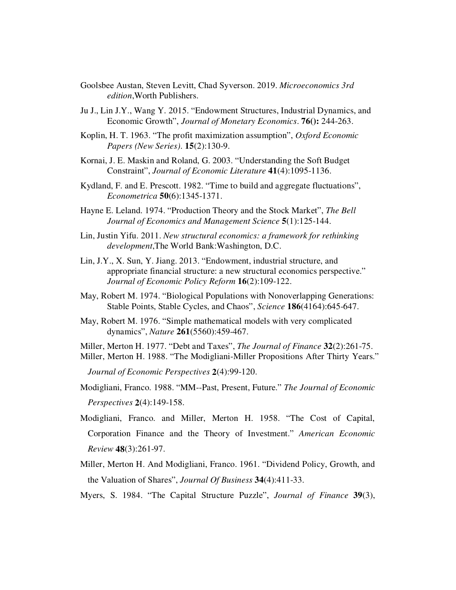- Goolsbee Austan, Steven Levitt, Chad Syverson. 2019. *Microeconomics 3rd edition*,Worth Publishers.
- Ju J., Lin J.Y., Wang Y. 2015. "Endowment Structures, Industrial Dynamics, and Economic Growth", *Journal of Monetary Economics*. **76():** 244-263.
- Koplin, H. T. 1963. "The profit maximization assumption", *Oxford Economic Papers (New Series)*. **15**(2):130-9.
- Kornai, J. E. Maskin and Roland, G. 2003. "Understanding the Soft Budget Constraint", *Journal of Economic Literature* **41**(4):1095-1136.
- Kydland, F. and E. Prescott. 1982. "Time to build and aggregate fluctuations", *Econometrica* **50**(6):1345-1371.
- Hayne E. Leland. 1974. "Production Theory and the Stock Market", *The Bell Journal of Economics and Management Science* **5**(1):125-144.
- Lin, Justin Yifu. 2011. *New structural economics: a framework for rethinking development*,The World Bank:Washington, D.C.
- Lin, J.Y., X. Sun, Y. Jiang. 2013. "Endowment, industrial structure, and appropriate financial structure: a new structural economics perspective." *Journal of Economic Policy Reform* **16**(2):109-122.
- May, Robert M. 1974. "Biological Populations with Nonoverlapping Generations: Stable Points, Stable Cycles, and Chaos", *Science* **186**(4164):645-647.
- May, Robert M. 1976. "Simple mathematical models with very complicated dynamics", *Nature* **261**(5560):459-467.
- Miller, Merton H. 1977. "Debt and Taxes", *The Journal of Finance* **32**(2):261-75. Miller, Merton H. 1988. "The Modigliani-Miller Propositions After Thirty Years."

*Journal of Economic Perspectives* **2**(4):99-120.

- Modigliani, Franco. 1988. "MM--Past, Present, Future." *The Journal of Economic Perspectives* **2**(4):149-158.
- Modigliani, Franco. and Miller, Merton H. 1958. "The Cost of Capital, Corporation Finance and the Theory of Investment." *American Economic Review* **48**(3):261-97.
- Miller, Merton H. And Modigliani, Franco. 1961. "Dividend Policy, Growth, and the Valuation of Shares", *Journal Of Business* **34**(4):411-33.
- Myers, S. 1984. "The Capital Structure Puzzle", *Journal of Finance* **39**(3),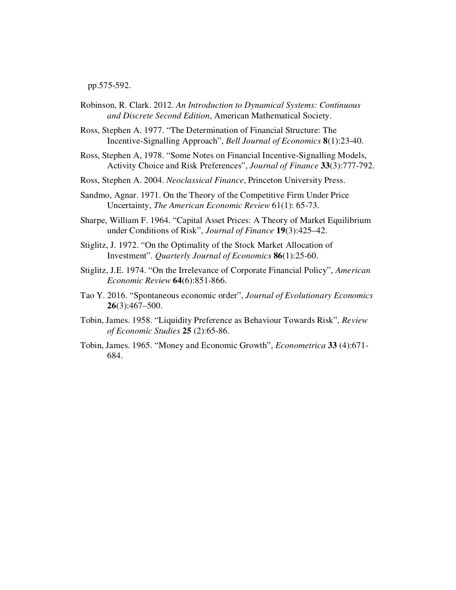pp.575-592.

- Robinson, R. Clark. 2012. *An Introduction to Dynamical Systems: Continuous and Discrete Second Edition*, American Mathematical Society.
- Ross, Stephen A. 1977. "The Determination of Financial Structure: The Incentive-Signalling Approach", *Bell Journal of Economics* **8**(1):23-40.
- Ross, Stephen A, 1978. "Some Notes on Financial Incentive-Signalling Models, Activity Choice and Risk Preferences", *Journal of Finance* **33**(3):777-792.
- Ross, Stephen A. 2004. *Neoclassical Finance*, Princeton University Press.
- Sandmo, Agnar. 1971. On the Theory of the Competitive Firm Under Price Uncertainty, *The American Economic Review* 61(1): 65-73.
- Sharpe, William F. 1964. "Capital Asset Prices: A Theory of Market Equilibrium under Conditions of Risk", *Journal of Finance* **19**(3):425–42.
- Stiglitz, J. 1972. "On the Optimality of the Stock Market Allocation of Investment". *Quarterly Journal of Economics* **86**(1):25-60.
- Stiglitz, J.E. 1974. "On the Irrelevance of Corporate Financial Policy", *American Economic Review* **64**(6):851-866.
- Tao Y. 2016. "Spontaneous economic order", *Journal of Evolutionary Economics* **26**(3):467–500.
- Tobin, James. 1958. "Liquidity Preference as Behaviour Towards Risk", *Review of Economic Studies* **25** (2):65-86.
- Tobin, James. 1965. "Money and Economic Growth", *Econometrica* **33** (4):671- 684.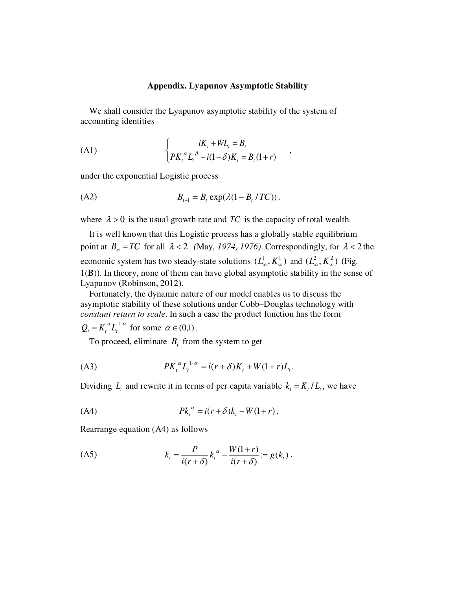#### **Appendix. Lyapunov Asymptotic Stability**

,

We shall consider the Lyapunov asymptotic stability of the system of accounting identities

(A1) 
$$
\begin{cases} iK_t + WL_t = B_t \\ PK_t^{\alpha} L_t^{\beta} + i(1-\delta)K_t = B_t(1+r) \end{cases}
$$

under the exponential Logistic process

(A2) 
$$
B_{t+1} = B_t \exp(\lambda(1 - B_t / TC)),
$$

where  $\lambda > 0$  is the usual growth rate and TC is the capacity of total wealth.

It is well known that this Logistic process has a globally stable equilibrium point at  $B_\infty = TC$  for all  $\lambda < 2$  (May, 1974, 1976). Correspondingly, for  $\lambda < 2$  the economic system has two steady-state solutions  $(L^1_\infty, K^1_\infty)$  and  $(L^2_\infty, K^2_\infty)$  (Fig. 1(**B**)). In theory, none of them can have global asymptotic stability in the sense of Lyapunov (Robinson, 2012).

Fortunately, the dynamic nature of our model enables us to discuss the asymptotic stability of these solutions under Cobb–Douglas technology with *constant return to scale*. In such a case the product function has the form

 $Q_t = K_t^{\alpha} L_t^{1-\alpha}$  for some  $\alpha \in (0,1)$ .

To proceed, eliminate  $B_t$  from the system to get

(A3) 
$$
PK_t^{\alpha}L_t^{1-\alpha} = i(r+\delta)K_t + W(1+r)L_t.
$$

Dividing  $L_t$  and rewrite it in terms of per capita variable  $k_t = K_t / L_t$ , we have

(A4) *Pk* (*ri* )*k W* 1( *r*) *<sup>t</sup>* = +<sup>δ</sup> *<sup>t</sup>* + + α .

Rearrange equation (A4) as follows

$$
(A5) \t k_t = \frac{P}{i(r+\delta)} k_t^{\alpha} - \frac{W(1+r)}{i(r+\delta)} := g(k_t) .
$$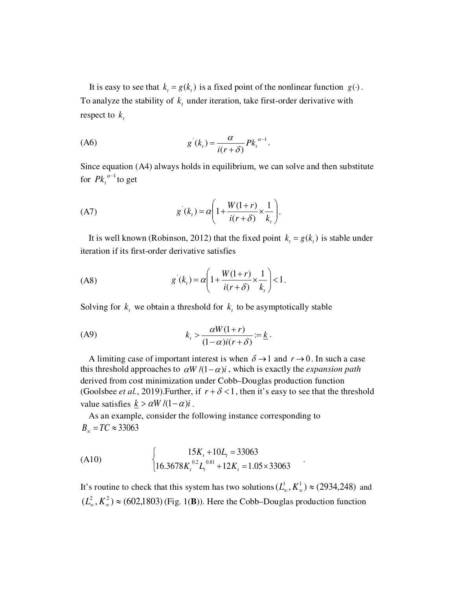It is easy to see that  $k_t = g(k_t)$  is a fixed point of the nonlinear function  $g(\cdot)$ . To analyze the stability of  $k_t$  under iteration, take first-order derivative with respect to *<sup>t</sup> k*

$$
(A6) \t\t\t g'(kt) = \frac{\alpha}{i(r+\delta)} P k_t^{\alpha-1}.
$$

Since equation (A4) always holds in equilibrium, we can solve and then substitute for  $P k_t^{\alpha-1}$  to get

(A7) 
$$
g'(k_{t}) = \alpha \left( 1 + \frac{W(1+r)}{i(r+\delta)} \times \frac{1}{k_{t}} \right).
$$

It is well known (Robinson, 2012) that the fixed point  $k_t = g(k_t)$  is stable under iteration if its first-order derivative satisfies

$$
(A8) \t\t g'(kt) = \alpha \left( 1 + \frac{W(1+r)}{i(r+\delta)} \times \frac{1}{k_t} \right) < 1.
$$

Solving for  $k_t$  we obtain a threshold for  $k_t$  to be asymptotically stable

$$
(A9) \t\t kt > \frac{\alpha W(1+r)}{(1-\alpha)i(r+\delta)} := \underline{k}.
$$

A limiting case of important interest is when  $\delta \rightarrow 1$  and  $r \rightarrow 0$ . In such a case this threshold approaches to  $\alpha W/((1-\alpha)i)$ , which is exactly the *expansion path* derived from cost minimization under Cobb–Douglas production function (Goolsbee *et al.*, 2019). Further, if  $r + \delta < 1$ , then it's easy to see that the threshold value satisfies  $k > \alpha W / (1 - \alpha)i$ .

As an example, consider the following instance corresponding to  $B_{\infty} = TC \approx 33063$ 

(A10)  
\n
$$
\begin{cases}\n15K_t + 10L_t = 33063 \\
16.3678K_t^{0.2}L_t^{0.81} + 12K_t = 1.05 \times 33063\n\end{cases}
$$

It's routine to check that this system has two solutions  $(L^1_\infty, K^1_\infty) \approx (2934,248)$  and  $(L_{\infty}^2, K_{\infty}^2) \approx (602,1803)$  (Fig. 1(**B**)). Here the Cobb–Douglas production function

.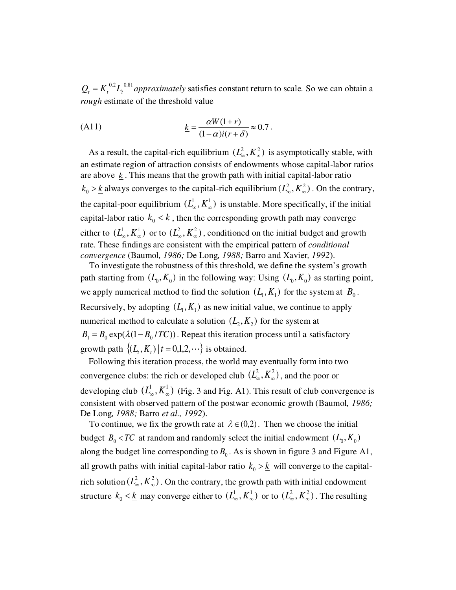$Q_t = K_t^{0.2} L_t^{0.81}$  *approximately* satisfies constant return to scale. So we can obtain a *rough* estimate of the threshold value

(A11) 
$$
\underline{k} = \frac{\alpha W(1+r)}{(1-\alpha)i(r+\delta)} \approx 0.7.
$$

As a result, the capital-rich equilibrium  $(L_{\infty}^2, K_{\infty}^2)$  is asymptotically stable, with an estimate region of attraction consists of endowments whose capital-labor ratios are above  $k$ . This means that the growth path with initial capital-labor ratio  $k_0 > \underline{k}$  always converges to the capital-rich equilibrium ( $L^2_{\infty}, K^2_{\infty}$ ). On the contrary, the capital-poor equilibrium  $(L^1_\infty, K^1_\infty)$  is unstable. More specifically, if the initial capital-labor ratio  $k_0 < \underline{k}$ , then the corresponding growth path may converge either to  $(L^1_\infty, K^1_\infty)$  or to  $(L^2_\infty, K^2_\infty)$ , conditioned on the initial budget and growth rate. These findings are consistent with the empirical pattern of *conditional convergence* (Baumol*, 1986;* De Long*, 1988;* Barro and Xavier*, 1992*).

To investigate the robustness of this threshold, we define the system's growth path starting from  $(L_0, K_0)$  in the following way: Using  $(L_0, K_0)$  as starting point, we apply numerical method to find the solution  $(L_1, K_1)$  for the system at  $B_0$ . Recursively, by adopting  $(L_1, K_1)$  as new initial value, we continue to apply numerical method to calculate a solution  $(L_2, K_2)$  for the system at  $B_1 = B_0 \exp(\lambda (1 - B_0 / TC))$ . Repeat this iteration process until a satisfactory growth path  $\{(L_t, K_t) | t = 0, 1, 2, \cdots\}$  is obtained.

Following this iteration process, the world may eventually form into two convergence clubs: the rich or developed club  $(L_{\infty}^2, K_{\infty}^2)$ , and the poor or developing club  $(L_{\infty}^1, K_{\infty}^1)$  (Fig. 3 and Fig. A1). This result of club convergence is consistent with observed pattern of the postwar economic growth (Baumol*, 1986;* De Long*, 1988;* Barro *et al., 1992*).

To continue, we fix the growth rate at  $\lambda \in (0,2)$ . Then we choose the initial budget  $B_0 < TC$  at random and randomly select the initial endowment  $(L_0, K_0)$ along the budget line corresponding to  $B_0$ . As is shown in figure 3 and Figure A1, all growth paths with initial capital-labor ratio  $k_0 > k$  will converge to the capitalrich solution  $(L_{\infty}^2, K_{\infty}^2)$ . On the contrary, the growth path with initial endowment structure  $k_0 < \underline{k}$  may converge either to  $(L^1_\infty, K^1_\infty)$  or to  $(L^2_\infty, K^2_\infty)$ . The resulting